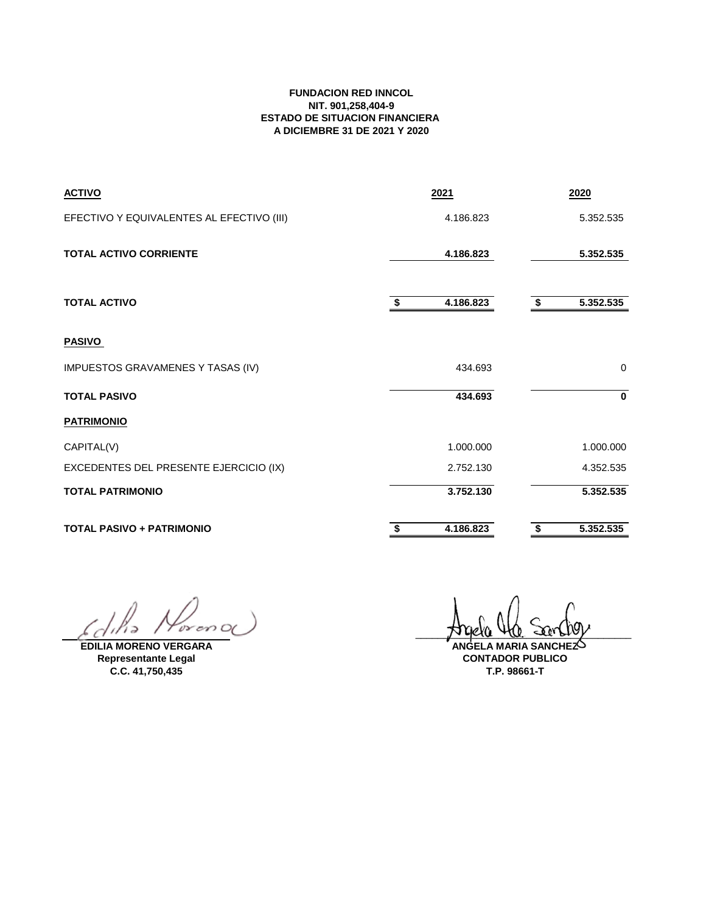## **FUNDACION RED INNCOL NIT. 901,258,404-9 ESTADO DE SITUACION FINANCIERA A DICIEMBRE 31 DE 2021 Y 2020**

| <b>ACTIVO</b>                             | 2021            | 2020            |
|-------------------------------------------|-----------------|-----------------|
| EFECTIVO Y EQUIVALENTES AL EFECTIVO (III) | 4.186.823       | 5.352.535       |
| <b>TOTAL ACTIVO CORRIENTE</b>             | 4.186.823       | 5.352.535       |
| <b>TOTAL ACTIVO</b>                       | 4.186.823<br>\$ | 5.352.535<br>\$ |
| <b>PASIVO</b>                             |                 |                 |
| IMPUESTOS GRAVAMENES Y TASAS (IV)         | 434.693         | 0               |
| <b>TOTAL PASIVO</b>                       | 434.693         | $\mathbf 0$     |
| <b>PATRIMONIO</b>                         |                 |                 |
| CAPITAL(V)                                | 1.000.000       | 1.000.000       |
| EXCEDENTES DEL PRESENTE EJERCICIO (IX)    | 2.752.130       | 4.352.535       |
| <b>TOTAL PATRIMONIO</b>                   | 3.752.130       | 5.352.535       |
| <b>TOTAL PASIVO + PATRIMONIO</b>          | 4.186.823<br>\$ | 5.352.535<br>\$ |

 $or on  $O($$  $113$ 6 L

**EDILIA MORENO VERGARA Representante Legal C.C. 41,750,435**

 $\mu$ uera tra contro **ANGELA MARIA SANCHEZ**

**CONTADOR PUBLICO T.P. 98661-T**